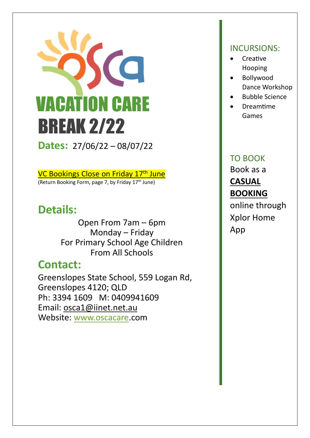

**Dates:** 27/06/22 – 08/07/22

VC Bookings Close on Friday 17<sup>th</sup> June (Return Booking Form, page 7, by Friday  $17<sup>th</sup>$  June)

## **Details:**

Open From 7am – 6pm Monday – Friday For Primary School Age Children From All Schools

## **Contact:**

Greenslopes State School, 559 Logan Rd, Greenslopes 4120; QLD Ph: 3394 1609 M: 0409941609 Email: [osca1@iinet.net.au](mailto:osca1@iinet.net.au) Website: [www.oscacare.](http://www.oscacare/)com

## INCURSIONS:

- Creative Hooping
- Bollywood Dance Workshop
- Bubble Science
- Dreamtime Games

## TO BOOK Book as a **CASUAL BOOKING** online through Xplor Home App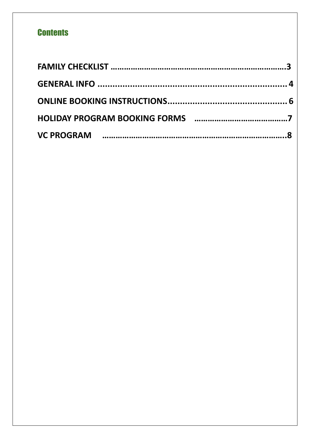## **Contents**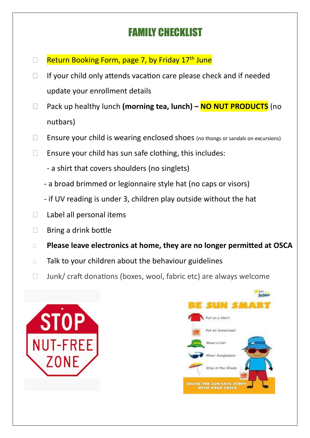## FAMILY CHECKLIST

- $\Box$  Return Booking Form, page 7, by Friday 17<sup>th</sup> June
- $\Box$  If your child only attends vacation care please check and if needed update your enrollment details
- Pack up healthy lunch **(morning tea, lunch) – NO NUT PRODUCTS** (no nutbars)
- $\Box$  Ensure your child is wearing enclosed shoes (no thongs or sandals on excursions)
- $\Box$  Ensure your child has sun safe clothing, this includes:
	- a shirt that covers shoulders (no singlets)
	- a broad brimmed or legionnaire style hat (no caps or visors)
	- if UV reading is under 3, children play outside without the hat
- $\Box$  Label all personal items
- $\Box$  Bring a drink bottle
- **Please leave electronics at home, they are no longer permitted at OSCA**
- $\Box$  Talk to your children about the behaviour guidelines
- $\Box$  Junk/ craft donations (boxes, wool, fabric etc) are always welcome



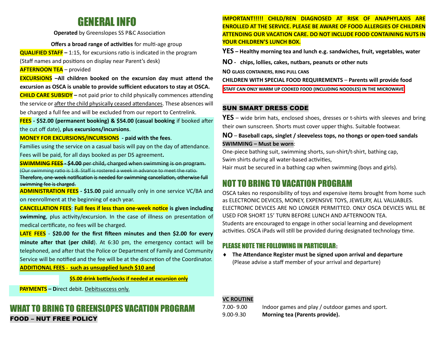## GENERAL INFO

**Operated** by Greenslopes SS P&C Association

**Offers a broad range of activities** for multi-age group

**QUALIFIED STAFF –** 1:15, for excursions ratio is indicated in the program (Staff names and positions on display near Parent's desk)

**AFTERNOON TEA** – provided

**EXCURSIONS –All children booked on the excursion day must attend the excursion as OSCA is unable to provide sufficient educators to stay at OSCA.** 

**CHILD CARE SUBSIDY –** not paid prior to child physically commences attending the service or after the child physically ceased attendances. These absences will be charged a full fee and will be excluded from our report to Centrelink.

**FEES - \$52.00 (permanent booking) & \$54.00 (casual booking** if booked after the cut off date), **plus excursions/incursions**.

**MONEY FOR EXCURSIONS/INCURSIONS - paid with the fees**.

<span id="page-3-0"></span>Families using the service on a casual basis will pay on the day of attendance. Fees will be paid, for all days booked as per DS agreement**.**

**SWIMMING FEES - \$4.00** per child, charged when swimming is on program. (Our swimming ratio is 1:8. Staff is rostered a week in advance to meet the ratio.

Therefore, one-week notification is needed for swimming cancellation, otherwise full swimming fee is charged.

**ADMINISTRATION FEES - \$15.00** paid annually only in one service VC/BA and on reenrollment at the beginning of each year.

**CANCELLATION FEES**: **Full fees if less than one-week notice is given including swimming**, plus activity/excursion. In the case of illness on presentation of medical certificate, no fees will be charged.

**LATE FEES** - **\$20.00 for the first fifteen minutes and then \$2.00 for every minute after that (per child**). At 6:30 pm, the emergency contact will be telephoned, and after that the Police or Department of Family and Community Service will be notified and the fee will be at the discretion of the Coordinator.

**ADDITIONAL FEES - such as unsupplied lunch \$10 and**

**\$5.00 drink bottle/socks if needed at excursion only**

 **PAYMENTS – D**irect debit. Debitsuccess only.

### WHAT TO BRING TO GREENSLOPES VACATION PROGRAM FOOD – NUT FREE POLICY

#### **IMPORTANT!!!!! CHILD/REN DIAGNOSED AT RISK OF ANAPHYLAXIS ARE ENROLLED AT THE SERVICE. PLEASE BE AWARE OF FOOD ALLERGIES OF CHILDREN ATTENDING OUR VACATION CARE. DO NOT INCLUDE FOOD CONTAINING NUTS IN YOUR CHILDREN'S LUNCH BOX.**

**YES – Healthy morning tea and lunch e.g. sandwiches, fruit, vegetables, water**

**NO - chips, lollies, cakes, nutbars, peanuts or other nuts**

**NO GLASS CONTAINERS, RING PULL CANS**

**CHILDREN WITH SPECIAL FOOD REQUIREMENTS** – **Parents will provide food**

**STAFF CAN ONLY WARM UP COOKED FOOD (INCLUDING NOODLES) IN THE MICROWAVE**

#### SUN SMART DRESS CODE

**YES** – wide brim hats, enclosed shoes, dresses or t-shirts with sleeves and bring their own sunscreen. Shorts must cover upper thighs. Suitable footwear.

**NO** – **Baseball caps, singlet / sleeveless tops, no thongs or open-toed sandals SWIMMING – Must be worn**:

One-piece bathing suit, swimming shorts, sun-shirt/t-shirt, bathing cap, Swim shirts during all water-based activities,

Hair must be secured in a bathing cap when swimming (boys and girls).

## NOT TO BRING TO VACATION PROGRAM

OSCA takes no responsibility of toys and expensive items brought from home such as ELECTRONIC DEVICES, MONEY, EXPENSIVE TOYS, JEWELRY, ALL VALUABLES. ELECTRONIC DEVICES ARE NO LONGER PERMITTED. ONLY OSCA DEVICES WILL BE USED FOR SHORT 15' TURN BEFORE LUNCH AND AFTERNOON TEA. Students are encouraged to engage in other social learning and development activities. OSCA iPads will still be provided during designated technology time.

### PLEASE NOTE THE FOLLOWING IN PARTICULAR**:**

 **The Attendance Register must be signed upon arrival and departure** (Please advise a staff member of your arrival and departure)

#### **VC ROUTINE**

7.00- 9.00 Indoor games and play / outdoor games and sport. 9.00-9.30 **Morning tea (Parents provide).**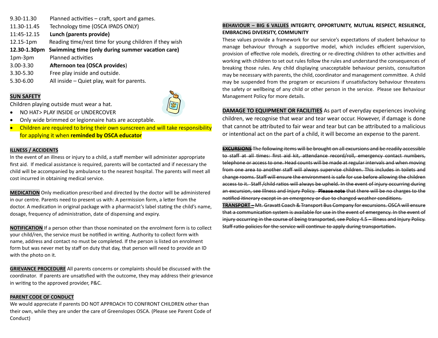| 9.30-11.30   | Planned activities - craft, sport and games.           |
|--------------|--------------------------------------------------------|
| 11.30-11.45  | Technology time (OSCA IPADS ONLY)                      |
| 11:45-12.15  | Lunch (parents provide)                                |
| 12.15-1pm    | Reading time/rest time for young children if they wish |
| 12.30-1.30pm | Swimming time (only during summer vacation care)       |
| 1pm-3pm      | <b>Planned activities</b>                              |
| 3.00-3.30    | Afternoon tea (OSCA provides)                          |
| 3.30-5.30    | Free play inside and outside.                          |
| 5.30-6.00    | All inside – Quiet play, wait for parents.             |

#### **SUN SAFETY**



Children playing outside must wear a hat.

- NO HAT> PLAY INSIDE or UNDERCOVER
- Only wide brimmed or legionnaire hats are acceptable.
- Children are required to bring their own sunscreen and will take responsibility for applying it when **reminded by OSCA educator**

#### **ILLNESS / ACCIDENTS**

In the event of an illness or injury to a child, a staff member will administer appropriate first aid. If medical assistance is required, parents will be contacted and if necessary the child will be accompanied by ambulance to the nearest hospital. The parents will meet all cost incurred in obtaining medical service.

**MEDICATION** Only medication prescribed and directed by the doctor will be administered in our centre. Parents need to present us with: A permission form, a letter from the doctor. A medication in original package with a pharmacist's label stating the child's name, dosage, frequency of administration, date of dispensing and expiry.

**NOTIFICATION** If a person other than those nominated on the enrolment form is to collect your child/ren, the service must be notified in writing. Authority to collect form with name, address and contact no must be completed. If the person is listed on enrolment form but was never met by staff on duty that day, that person will need to provide an ID with the photo on it.

**GRIEVANCE PROCEDURE** All parents concerns or complaints should be discussed with the coordinator. If parents are unsatisfied with the outcome, they may address their grievance in writing to the approved provider, P&C.

#### **PARENT CODE OF CONDUCT**

We would appreciate if parents DO NOT APPROACH TO CONFRONT CHILDREN other than their own, while they are under the care of Greenslopes OSCA. (Please see Parent Code of Conduct)

#### **BEHAVIOUR – BIG 6 VALUES INTEGRITY, OPPORTUNITY, MUTUAL RESPECT, RESILIENCE, EMBRACING DIVERSITY, COMMUNITY**

These values provide a framework for our service's expectations of student behaviour to manage behaviour through a supportive model, which includes efficient supervision, provision of effective role models, directing or re-directing children to other activities and working with children to set out rules follow the rules and understand the consequences of breaking those rules. Any child displaying unacceptable behaviour persists, consultation may be necessary with parents, the child, coordinator and management committee. A child may be suspended from the program or excursions if unsatisfactory behaviour threatens the safety or wellbeing of any child or other person in the service. Please see Behaviour Management Policy for more details.

**DAMAGE TO EQUIPMENT OR FACILITIES** As part of everyday experiences involving children, we recognise that wear and tear wear occur. However, if damage is done that cannot be attributed to fair wear and tear but can be attributed to a malicious or intentional act on the part of a child, it will become an expense to the parent.

**EXCURSIONS** The following items will be brought on all excursions and be readily accessible to staff at all times: first aid kit, attendance record/roll, emergency contact numbers, telephone or access to one. Head counts will be made at regular intervals and when moving from one area to another staff will always supervise children. This includes in toilets and change rooms. Staff will ensure the environment is safe for use before allowing the children access to it. Staff /child ratios will always be upheld. In the event of injury occurring during an excursion, see Illness and Injury Policy. **Please note** that there will be no charges to the notified itinerary except in an emergency or due to changed weather conditions.

**TRANSPORT –** Mt. Gravatt Coach & Transport Bus Company for excursions. OSCA will ensure that a communication system is available for use in the event of emergency. In the event of injury occurring in the course of being transported, see Policy 4.5 – Illness and Injury Policy. Staff ratio policies for the service will continue to apply during transportation.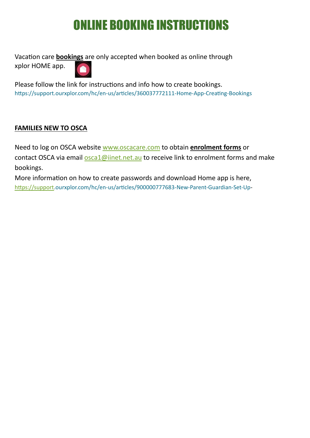# ONLINE BOOKING INSTRUCTIONS

<span id="page-5-0"></span>Vacation care **bookings** are only accepted when booked as online through xplor HOME app.

Please follow the link for instructions and info how to create bookings. <https://support.ourxplor.com/hc/en-us/articles/360037772111-Home-App-Creating-Bookings>

### **FAMILIES NEW TO OSCA**

Need to log on OSCA website [www.oscacare.com](http://www.oscacare.com/) to obtain **enrolment forms** or contact OSCA via email [osca1@iinet.net.au](mailto:osca1@iinet.net.au) to receive link to enrolment forms and make bookings.

More information on how to create passwords and download Home app is here, [https://support.](https://support/)ourxplor.com/hc/en-us/articles/900000777683-New-Parent-Guardian-Set-Up-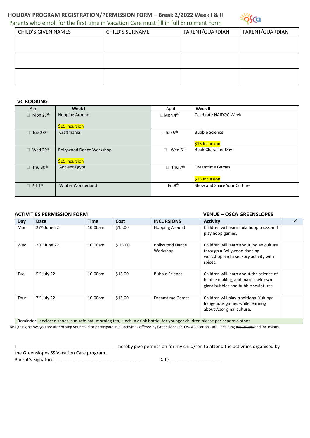#### **HOLIDAY PROGRAM REGISTRATION/PERMISSION FORM – Break 2/2022 Week I & II**  Parents who enroll for the first time in Vacation Care must fill in full Enrolment Form



| <b>CHILD'S GIVEN NAMES</b> | <b>CHILD'S SURNAME</b> | PARENT/GUARDIAN | PARENT/GUARDIAN |
|----------------------------|------------------------|-----------------|-----------------|
|                            |                        |                 |                 |
|                            |                        |                 |                 |
|                            |                        |                 |                 |
|                            |                        |                 |                 |
|                            |                        |                 |                 |
|                            |                        |                 |                 |

#### **VC BOOKING**

| April             | Week I                          | April                         | Week II                     |
|-------------------|---------------------------------|-------------------------------|-----------------------------|
| Mon 27th<br>П     | <b>Hooping Around</b>           | $\Box$ Mon 4 <sup>th</sup>    | Celebrate NAIDOC Week       |
|                   |                                 |                               |                             |
|                   | \$15 Incursion                  |                               |                             |
| Tue 28th<br>П     | Craftmania                      | $\square$ Tue 5 <sup>th</sup> | <b>Bubble Science</b>       |
|                   |                                 |                               |                             |
|                   |                                 |                               | \$15 Incursion              |
| Wed 29th<br>П     | <b>Bollywood Dance Workshop</b> | Wed 6 <sup>th</sup>           | <b>Book Character Day</b>   |
|                   |                                 |                               |                             |
|                   | \$15 Incursion                  |                               |                             |
| Thu 30th<br>П     | <b>Ancient Egypt</b>            | $\Box$ Thu 7 <sup>th</sup>    | <b>Dreamtime Games</b>      |
|                   |                                 |                               |                             |
|                   |                                 |                               | \$15 Incursion              |
| Fri 1st<br>$\Box$ | Winter Wonderland               | Fri 8 <sup>th</sup>           | Show and Share Your Culture |
|                   |                                 |                               |                             |
|                   |                                 |                               |                             |

#### **ACTIVITIES PERMISSION FORM VENUE – OSCA GREENSLOPES**

| Day                                                                                                                        | Date                     | Time    | Cost    | <b>INCURSIONS</b>                  | <b>Activity</b>                                                                                                            |  |
|----------------------------------------------------------------------------------------------------------------------------|--------------------------|---------|---------|------------------------------------|----------------------------------------------------------------------------------------------------------------------------|--|
| Mon                                                                                                                        | $27th$ June 22           | 10:00am | \$15.00 | Hooping Around                     | Children will learn hula hoop tricks and<br>play hoop games.                                                               |  |
| Wed                                                                                                                        | 29 <sup>th</sup> June 22 | 10:00am | \$15.00 | <b>Bollywood Dance</b><br>Workshop | Children will learn about Indian culture<br>through a Bollywood dancing<br>workshop and a sensory activity with<br>spices. |  |
| Tue                                                                                                                        | 5 <sup>th</sup> July 22  | 10:00am | \$15.00 | <b>Bubble Science</b>              | Children will learn about the science of<br>bubble making, and make their own<br>giant bubbles and bubble sculptures.      |  |
| Thur                                                                                                                       | 7 <sup>th</sup> July 22  | 10:00am | \$15.00 | <b>Dreamtime Games</b>             | Children will play traditional Yulunga<br>Indigenous games while learning<br>about Aboriginal culture.                     |  |
| Reminder: enclosed shoes, sun safe hat, morning tea, lunch, a drink bottle, for younger children please pack spare clothes |                          |         |         |                                    |                                                                                                                            |  |

Reminder: enclosed shoes, sun safe hat, morning tea, lunch, a drink bottle, for younger children please pack spare clothes

By signing below, you are authorising your child to participate in all activities offered by Greenslopes SS OSCA Vacation Care, including excursions and incursions**.**

I\_\_\_\_\_\_\_\_\_\_\_\_\_\_\_\_\_\_\_\_\_\_\_\_\_\_\_\_\_\_\_\_\_\_\_\_\_\_\_ hereby give permission for my child/ren to attend the activities organised by

the Greenslopes SS Vacation Care program.

Parent's Signature \_\_\_\_\_\_\_\_\_\_\_\_\_\_\_\_\_\_\_\_\_\_\_\_\_\_\_\_\_\_\_\_\_\_ Date\_\_\_\_\_\_\_\_\_\_\_\_\_\_\_\_\_\_\_\_